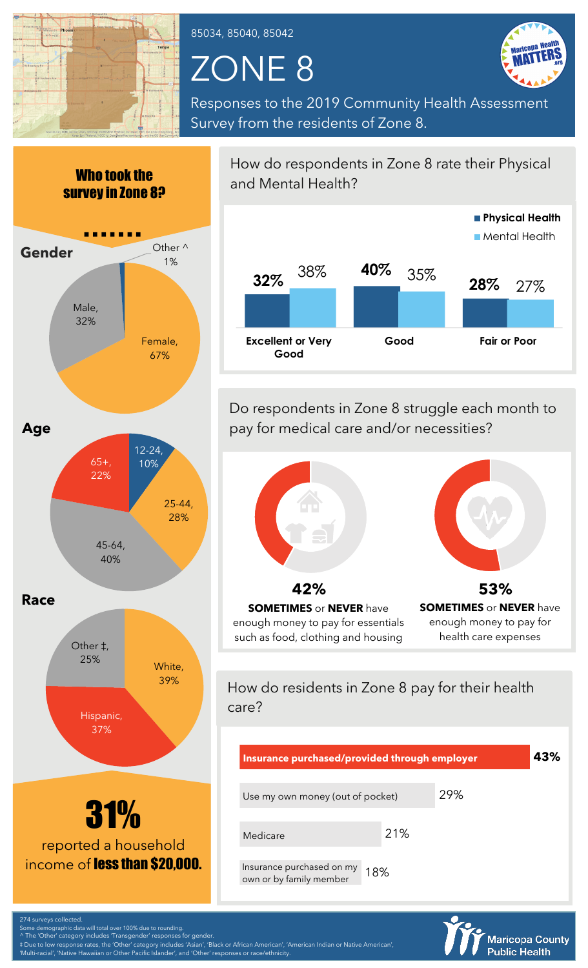

85034, 85040, 85042

## ZONE 8



**Maricopa County Public Health** 

Responses to the 2019 Community Health Assessment Survey from the residents of Zone 8.



274 surveys collected. Some demographic data will total over 100% due to rounding.

^ The 'Other' category includes 'Transgender' responses for gender.

‡ Due to low response rates, the 'Other' category includes 'Asian', 'Black or African American', 'American Indian or Native American', 'Multi-racial', 'Native Hawaiian or Other Pacific Islander', and 'Other' responses or race/ethnicity.